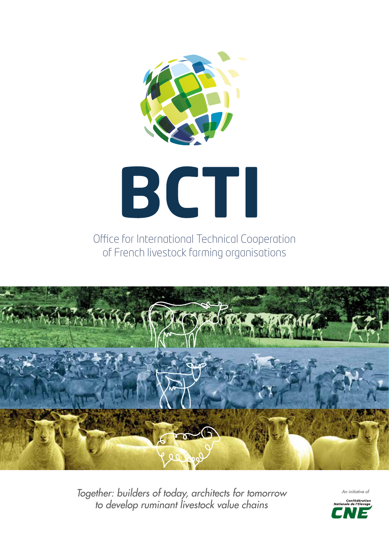

Office for International Technical Cooperation of French livestock farming organisations



*Together: builders of today, architects for tomorrow to develop ruminant livestock value chains*

An *initiative* of Confe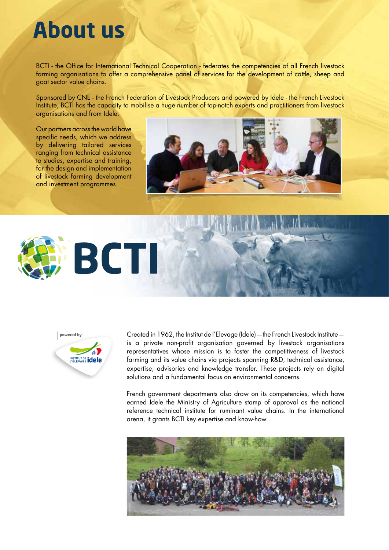## **About us**

BCTI - the Office for International Technical Cooperation - federates the competencies of all French livestock farming organisations to offer a comprehensive panel of services for the development of cattle, sheep and goat sector value chains.

Sponsored by CNE - the French Federation of Livestock Producers and powered by Idele - the French Livestock Institute, BCTI has the capacity to mobilise a huge number of top-notch experts and practitioners from livestock organisations and from Idele.

Our partners across the world have specific needs, which we address by delivering tailored services ranging from technical assistance to studies, expertise and training, for the design and implementation of livestock farming development and investment programmes.







Created in 1962, the Institut de l'Elevage (Idele)—the French Livestock Institute is a private non-profit organisation governed by livestock organisations representatives whose mission is to foster the competitiveness of livestock farming and its value chains via projects spanning R&D, technical assistance, expertise, advisories and knowledge transfer. These projects rely on digital solutions and a fundamental focus on environmental concerns.

French government departments also draw on its competencies, which have earned Idele the Ministry of Agriculture stamp of approval as the national reference technical institute for ruminant value chains. In the international arena, it grants BCTI key expertise and know-how.

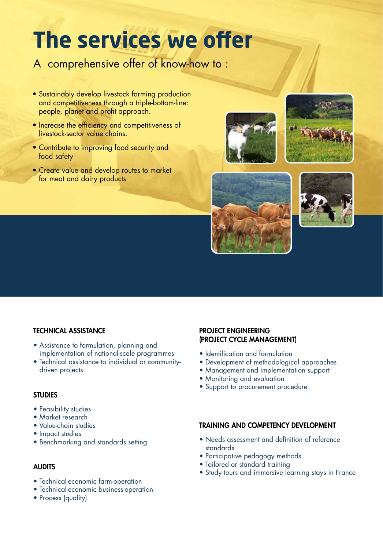# **The services we offer**

### A comprehensive offer of know-how to :

- Sustainably develop livestock farming production and competitiveness through a triple-bottom-line: people, planet and profit approach.
- Increase the efficiency and competitiveness of livestock-sector value chains.
- Contribute to improving food security and food safety
- Create value and develop routes to market for meat and dairy products









### TECHNICAL ASSISTANCE

- Assistance to formulation, planning and implementation of national-scale programmes
- Technical assistance to individual or communitydriven projects

#### **STUDIES**

- Feasibility studies
- Market research
- Value-chain studies
- Impact studies
- Benchmarking and standards setting

#### AUDITS

- Technical-economic farm-operation
- Technical-economic business-operation
- Process (quality)

#### PROJECT ENGINEERING (PROJECT CYCLE MANAGEMENT)

- Identification and formulation
- Development of methodological approaches
- Management and implementation support
- Monitoring and evaluation
- Support to procurement procedure

#### TRAINING AND COMPETENCY DEVELOPMENT

- Needs assessment and definition of reference standards
- Participative pedagogy methods
- Tailored or standard training
- Study tours and immersive learning stays in France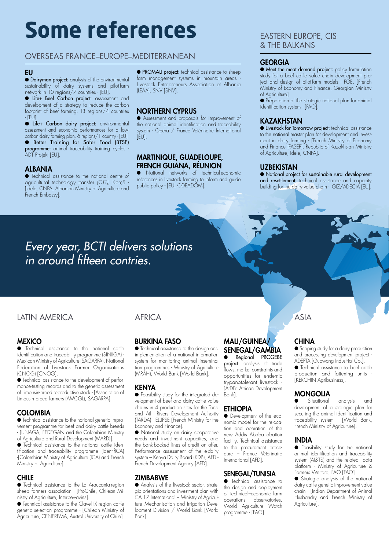# **Some references**

#### OVERSEAS FRANCE–EUROPE–MEDITERRANEAN

#### EU

● Dairyman project: analysis of the environmental sustainability of dairy systems and pilot-farm network in 10 regions/7 countries - [EU].

● Life+ Beef Carbon project: assessment and development of a strategy to reduce the carbon footprint of beef farming. 13 regions/4 countries - [EU].

● Life+ Carbon dairy project: environmental assessment and economic performances for a lowcarbon dairy farming plan. 6 regions/1 country - [EU]. ● Better Training for Safer Food (BTSF) programme: animal traceability training cycles ADT Projekt [EU].

#### **ALBANIA**

● Technical assistance to the national centre of agricultural technology transfer *(CTT)*, Korçë - [Idele, CNPA, Albanian Ministry of Agriculture and French Embassy].

● PROMALI project: technical assistance to sheep farm management systems in mountain areas -Livestock Entrepreneurs Association of Albania (LEAA), SNV [SNV].

#### NORTHERN CYPRUS

● Assessment and proposals for improvement of the national animal identification and traceability system - Opera / France Vétérinaire International [EU].

#### MARTINIQUE, GUADELOUPE, FRENCH GUIANA, RÉUNION

● National networks of technical-economic references in livestock farming to inform and guide public policy - [EU, ODEADOM].

#### EASTERN EUROPE, CIS & THE BALKANS

#### **GEORGIA**

● Meet the meat demand project: policy formulation study for a beef cattle value chain development project and design of pilot-farm models - FGE. [French Ministry of Economy and Finance, Georgian Ministry of Agriculture].

● Preparation of the strategic national plan for animal identification system - [FAO].

#### **KAZAKHSTAN**

● Livestock for Tomorrow project: technical assistance to the national master plan for development and investment in dairy farming - [French Ministry of Economy and Finance (FASEP), Republic of Kazakhstan Ministry of Agriculture, Idele, CNPA].

#### UZBEKISTAN

● National project for sustainable rural development and resettlement: technical assistance and capacity building for the dairy value chain - GIZ/ADECIA [EU].

## *Every year, BCTI delivers solutions in around fteen contries.*

#### LATIN AMERICA ASIA

#### **MEXICO**

● Technical assistance to the national cattle identification and traceability programme (SINIIGA) -Mexican Ministry of Agriculture (SAGARPA), National Federation of Livestock Farmer Organisations (CNOG) [CNOG].

● Technical assistance to the development of performance-testing records and to the genetic assessment of Limousin-breed reproductive stock - [Association of Limousin breed farmers (AMCGL), SAGARPA].

#### **COLOMBIA**

● Technical assistance to the national genetic improvement programme for beef and dairy cattle breeds - [UNAGA, FEDEGAN and the Colombian Ministry of Agriculture and Rural Development (MARD)].

● Technical assistance to the national cattle identitication and traceability programme (IdentitICA) -[Colombian Ministry of Agriculture (ICA) and French Ministry of Agriculture].

#### **CHILE**

● Technical assistance to the La Araucanía-region sheep farmers association - [ProChile, Chilean Ministry of Agriculture, Interbev-ovins].

● Technical assistance to the Clavel IX region cattle genetic selection programme - [Chilean Ministry of Agriculture, CENEREMA, Austral University of Chile].

#### AFRICA

#### BURKINA FASO

● Technical assistance to the design and implementation of a national information system for monitoring animal insemination programmes - Ministry of Agriculture (MRAH), World Bank [World Bank].

#### KENYA

● Feasibility study for the integrated development of beef and dairy cattle value chains in 4 production sites for the Tana and Athi Rivers Development Authority (TARDA) - ELLIPSE [French Ministry for the Economy and Finance].

● National study on dairy cooperative needs and investment capacities, and the bank-backed lines of credit on offer. Performance assessment of the e-dairy system – Kenya Dairy Board (KDB), AFD - French Development Agency [AFD].

#### ZIMBABWE

● Analysis of the livestock sector, strategic orientations and investment plan with CA 17 International – Ministry of Agriculture–Mechanisation and Irrigation Development Division / World Bank [World Bank].

#### MALI/GUINEA/ SENEGAL/GAMBIA

Regional PROGEBE project: analysis of trade flows, market constraints and opportunities for endemic trypanotolerant livestock - [AfDB: African Development Bank].

#### ETHIOPIA

● Development of the economic model for the relocation and operation of the new Addis Ababa abattoir facility. Technical assistance to the procurement procedure – France Vétérinaire International [AFD].

#### SENEGAL/TUNISIA

**•** Technical assistance to the design and deployment of technical–economic farm operations observatories. World Agriculture Watch programme - [FAO].

#### **CHINA**

● Scoping study for a dairy production and processing development project - ADEPTA [Guowang Industrial Co.]. ● Technical assistance to beef cattle production and fattening units [KERCHIN Agribusiness].

#### MONGOLIA

● Situational analysis and development of a strategic plan for securing the animal identification and traceability system - [World Bank, French Ministry of Agriculture].

#### INDIA

● Feasibility study for the national animal identification and traceability system (AI&TS) and the related data platform - Ministry of Agriculture & Farmers Welfare, FAO [FAO].

● Strategic analysis of the national dairy cattle genetic improvement value chain - [Indian Department of Animal Husbandry and French Ministry of Agriculture].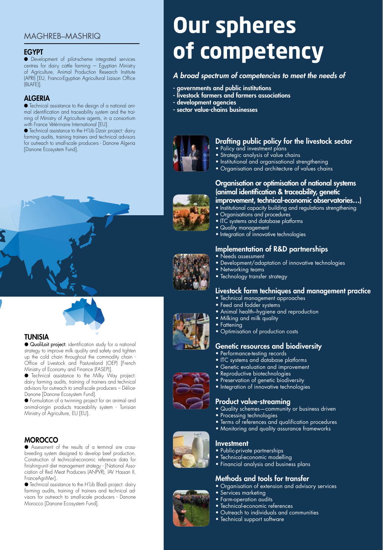### MAGHREB–MASHRIQ

#### EGYPT

● Development of pilot-scheme integrated services centres for dairy cattle farming  $-$  Egyptian Ministry of Agriculture, Animal Production Research Institute (APRI) [EU, Franco-Egyptian Agricultural Liaison Office (BLAFE)].

#### ALGERIA

● Technical assistance to the design of a national animal identification and traceability system and the training of Ministry of Agriculture agents, in a consortium with France Vétérinaire International [EU].

● Technical assistance to the H'Lib Dzair project: dairy farming audits, training trainers and technical advisors for outreach to small-scale producers - Danone Algeria [Danone Ecosystem Fund].

#### TUNISIA

● QualiLait project: identification study for a national strategy to improve milk quality and safety and tighten up the cold chain throughout the commodity chain - Office of Livestock and Pastureland (OEP) [French Ministry of Economy and Finance (FASEP)].

● Technical assistance to the Milky Way project: dairy farming audits, training of trainers and technical advisors for outreach to small-scale producers – Délice-Danone [Danone Ecosystem Fund].

● Formulation of a twinning project for an animal and animal-origin products traceability system - Tunisian Ministry of Agriculture, EU [EU].

#### **MOROCCO**

● Assessment of the results of a terminal sire crossbreeding system designed to develop beef production. Construction of technical-economic reference data for finishing-unit diet management strategy - [National Association of Red Meat Producers (ANPVR), IAV Hassan II, FranceAgriMer].

● Technical assistance to the H'Lib Bladi project: dairy farming audits, training of trainers and technical advisors for outreach to small-scale producers - Danone Morocco [Danone Ecosystem Fund].

# **Our spheres of competency**

#### *A broad spectrum of competencies to meet the needs of*

- governments and public institutions
- livestock farmers and farmers associations
- development agencies
- sector value-chains businesses



### Drafting public policy for the livestock sector

- Policy and investment plans
- Strategic analysis of value chains
- Institutional and organisational strengthening
- Organisation and architecture of values chains



#### Organisation or optimisation of national systems (animal identification & traceability, genetic improvement, technical-economic observatories…)

- . Institutional capacity building and regulations strengthening
- Organisations and procedures
- ITC systems and database platforms
- Quality management
- Integration of innovative technologies

### Implementation of R&D partnerships

- Needs assessment
- Development/adaptation of innovative technologies
- Networking teams
- Technology transfer strategy

#### Livestock farm techniques and management practice

- Technical management approaches
- Feed and fodder systems
- Animal health–hygiene and reproduction
- Milking and milk quality
- Fattening
- Optimisation of production costs

#### Genetic resources and biodiversity

- Performance-testing records
- ITC systems and database platforms
- **Genetic evaluation and improvement**
- Reproductive biotechnologies
- Preservation of genetic biodiversity
- Integration of innovative technologies

#### Product value-streaming

- Quality schemes—community or business driven
- Processing technologies
- Terms of references and qualification procedures
- Monitoring and quality assurance frameworks

#### Investment

- Public-private partnerships
- Technical-economic modelling
- Financial analysis and business plans

#### Methods and tools for transfer

• Outreach to individuals and communities

- Organisation of extension and advisory services
- Services marketing • Farm-operation audits

• Technical-economic references

• Technical support software